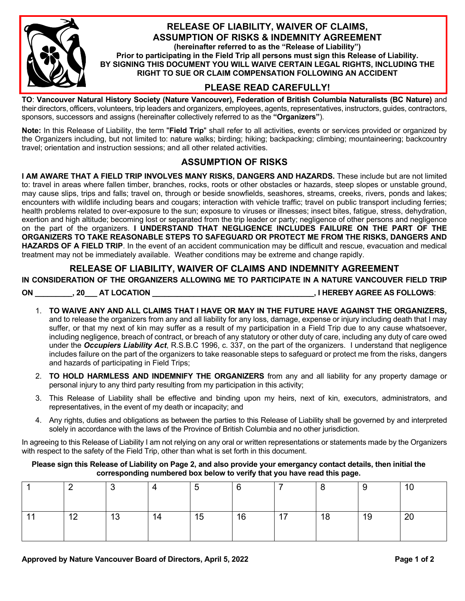

#### **RELEASE OF LIABILITY, WAIVER OF CLAIMS, ASSUMPTION OF RISKS & INDEMNITY AGREEMENT**

**(hereinafter referred to as the "Release of Liability") Prior to participating in the Field Trip all persons must sign this Release of Liability. BY SIGNING THIS DOCUMENT YOU WILL WAIVE CERTAIN LEGAL RIGHTS, INCLUDING THE RIGHT TO SUE OR CLAIM COMPENSATION FOLLOWING AN ACCIDENT**

# **PLEASE READ CAREFULLY!**

**TO**: **Vancouver Natural History Society (Nature Vancouver), Federation of British Columbia Naturalists (BC Nature)** and their directors, officers, volunteers, trip leaders and organizers, employees, agents, representatives, instructors, guides, contractors, sponsors, successors and assigns (hereinafter collectively referred to as the **"Organizers"**).

**Note:** In this Release of Liability, the term "**Field Trip**" shall refer to all activities, events or services provided or organized by the Organizers including, but not limited to: nature walks; birding; hiking; backpacking; climbing; mountaineering; backcountry travel; orientation and instruction sessions; and all other related activities.

## **ASSUMPTION OF RISKS**

**I AM AWARE THAT A FIELD TRIP INVOLVES MANY RISKS, DANGERS AND HAZARDS.** These include but are not limited to: travel in areas where fallen timber, branches, rocks, roots or other obstacles or hazards, steep slopes or unstable ground, may cause slips, trips and falls; travel on, through or beside snowfields, seashores, streams, creeks, rivers, ponds and lakes; encounters with wildlife including bears and cougars; interaction with vehicle traffic; travel on public transport including ferries; health problems related to over-exposure to the sun; exposure to viruses or illnesses; insect bites, fatigue, stress, dehydration, exertion and high altitude; becoming lost or separated from the trip leader or party; negligence of other persons and negligence on the part of the organizers. **I UNDERSTAND THAT NEGLIGENCE INCLUDES FAILURE ON THE PART OF THE ORGANIZERS TO TAKE REASONABLE STEPS TO SAFEGUARD OR PROTECT ME FROM THE RISKS, DANGERS AND HAZARDS OF A FIELD TRIP**. In the event of an accident communication may be difficult and rescue, evacuation and medical treatment may not be immediately available. Weather conditions may be extreme and change rapidly.

## **RELEASE OF LIABILITY, WAIVER OF CLAIMS AND INDEMNITY AGREEMENT**

**IN CONSIDERATION OF THE ORGANIZERS ALLOWING ME TO PARTICIPATE IN A NATURE VANCOUVER FIELD TRIP**

**ON \_\_\_\_\_\_\_\_\_, 20\_\_\_ AT LOCATION \_\_\_\_\_\_\_\_\_\_\_\_\_\_\_\_\_\_\_\_\_\_\_\_\_\_\_\_\_\_\_\_\_\_\_\_\_\_\_, I HEREBY AGREE AS FOLLOWS**:

- 1. **TO WAIVE ANY AND ALL CLAIMS THAT I HAVE OR MAY IN THE FUTURE HAVE AGAINST THE ORGANIZERS,**  and to release the organizers from any and all liability for any loss, damage, expense or injury including death that I may suffer, or that my next of kin may suffer as a result of my participation in a Field Trip due to any cause whatsoever, including negligence, breach of contract, or breach of any statutory or other duty of care, including any duty of care owed under the *Occupiers Liability Act*, R.S.B.C 1996, c. 337, on the part of the organizers. I understand that negligence includes failure on the part of the organizers to take reasonable steps to safeguard or protect me from the risks, dangers and hazards of participating in Field Trips;
- 2. **TO HOLD HARMLESS AND INDEMNIFY THE ORGANIZERS** from any and all liability for any property damage or personal injury to any third party resulting from my participation in this activity;
- 3. This Release of Liability shall be effective and binding upon my heirs, next of kin, executors, administrators, and representatives, in the event of my death or incapacity; and
- 4. Any rights, duties and obligations as between the parties to this Release of Liability shall be governed by and interpreted solely in accordance with the laws of the Province of British Columbia and no other jurisdiction.

In agreeing to this Release of Liability I am not relying on any oral or written representations or statements made by the Organizers with respect to the safety of the Field Trip, other than what is set forth in this document.

**Please sign this Release of Liability on Page 2, and also provide your emergancy contact details, then initial the corresponding numbered box below to verify that you have read this page.**

|                       |    |    | J  | 6  |           |    | ັ  | 10 |
|-----------------------|----|----|----|----|-----------|----|----|----|
| $\Lambda$<br><u>_</u> | 13 | 14 | 15 | 16 | 47<br>. . | 18 | 19 | 20 |